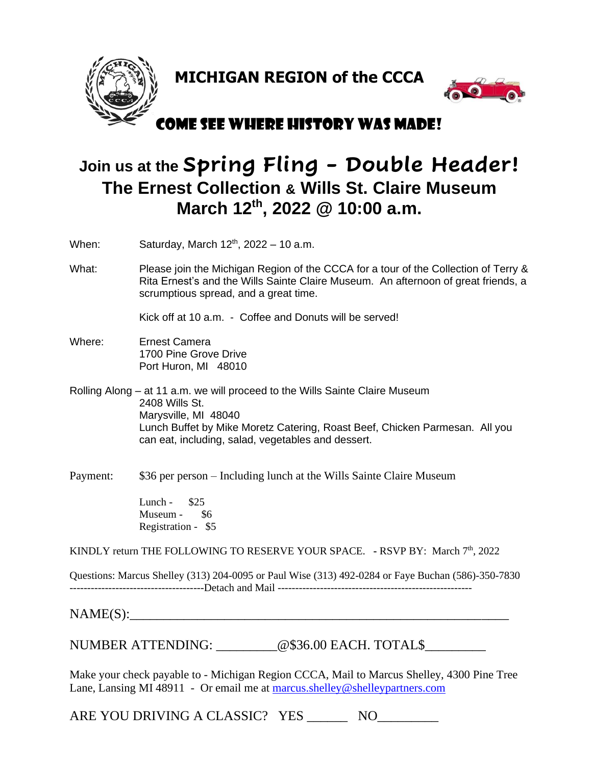

**MICHIGAN REGION of the CCCA**



## COME SEE WHERE HISTORY WAS MADE!

## **Join us at the Spring Fling - Double Header! The Ernest Collection & Wills St. Claire Museum March 12 th , 2022 @ 10:00 a.m.**

When: Saturday, March  $12<sup>th</sup>$ , 2022 – 10 a.m.

What: Please join the Michigan Region of the CCCA for a tour of the Collection of Terry & Rita Ernest's and the Wills Sainte Claire Museum. An afternoon of great friends, a scrumptious spread, and a great time.

Kick off at 10 a.m. - Coffee and Donuts will be served!

- Where: Ernest Camera 1700 Pine Grove Drive Port Huron, MI 48010
- Rolling Along at 11 a.m. we will proceed to the Wills Sainte Claire Museum 2408 Wills St. Marysville, MI 48040 Lunch Buffet by Mike Moretz Catering, Roast Beef, Chicken Parmesan. All you can eat, including, salad, vegetables and dessert.
- Payment: \$36 per person Including lunch at the Wills Sainte Claire Museum

Lunch -  $$25$ Museum - \$6 Registration - \$5

KINDLY return THE FOLLOWING TO RESERVE YOUR SPACE. **-** RSVP BY: March 7<sup>th</sup>, 2022

Questions: Marcus Shelley (313) 204-0095 or Paul Wise (313) 492-0284 or Faye Buchan (586)-350-7830 --------------------------------------Detach and Mail -------------------------------------------------------

 $NAME(S):$ 

NUMBER ATTENDING:  $@$36.00$  EACH. TOTAL\$

Make your check payable to - Michigan Region CCCA, Mail to Marcus Shelley, 4300 Pine Tree Lane, Lansing MI 48911 - Or email me at [marcus.shelley@shelleypartners.com](mailto:marcus.shelley@shelleypartners.com)

ARE YOU DRIVING A CLASSIC? YES \_\_\_\_\_\_\_\_ NO\_\_\_\_\_\_\_\_\_\_